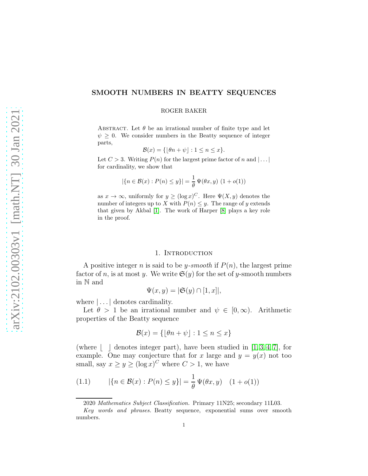# SMOOTH NUMBERS IN BEATTY SEQUENCES

#### ROGER BAKER

ABSTRACT. Let  $\theta$  be an irrational number of finite type and let  $\psi \geq 0$ . We consider numbers in the Beatty sequence of integer parts,

$$
\mathcal{B}(x) = \{ \lfloor \theta n + \psi \rfloor : 1 \le n \le x \}.
$$

Let  $C > 3$ . Writing  $P(n)$  for the largest prime factor of n and  $| \dots |$ for cardinality, we show that

$$
|\{n \in \mathcal{B}(x) : P(n) \le y\}| = \frac{1}{\theta} \Psi(\theta x, y) (1 + o(1))
$$

as  $x \to \infty$ , uniformly for  $y \geq (\log x)^C$ . Here  $\Psi(X, y)$  denotes the number of integers up to X with  $P(n) \leq y$ . The range of y extends that given by Akbal [\[1\]](#page-11-0). The work of Harper [\[8\]](#page-11-1) plays a key role in the proof.

### 1. INTRODUCTION

A positive integer n is said to be y-smooth if  $P(n)$ , the largest prime factor of n, is at most y. We write  $\mathfrak{S}(y)$  for the set of y-smooth numbers in N and

$$
\Psi(x, y) = |\mathfrak{S}(y) \cap [1, x]|,
$$

where  $\left| \ldots \right|$  denotes cardinality.

Let  $\theta > 1$  be an irrational number and  $\psi \in [0, \infty)$ . Arithmetic properties of the Beatty sequence

$$
\mathcal{B}(x) = \{ \lfloor \theta n + \psi \rfloor : 1 \le n \le x \}
$$

(where  $\vert \cdot \vert$  denotes integer part), have been studied in [\[1,](#page-11-0) [3,](#page-11-2) [4,](#page-11-3) [7\]](#page-11-4), for example. One may conjecture that for x large and  $y = y(x)$  not too small, say  $x \ge y \ge (\log x)^C$  where  $C > 1$ , we have

<span id="page-0-0"></span>(1.1) 
$$
|\{n \in \mathcal{B}(x) : P(n) \le y\}| = \frac{1}{\theta} \Psi(\theta x, y) \quad (1 + o(1))
$$

<sup>2020</sup> Mathematics Subject Classification. Primary 11N25; secondary 11L03.

Key words and phrases. Beatty sequence, exponential sums over smooth numbers.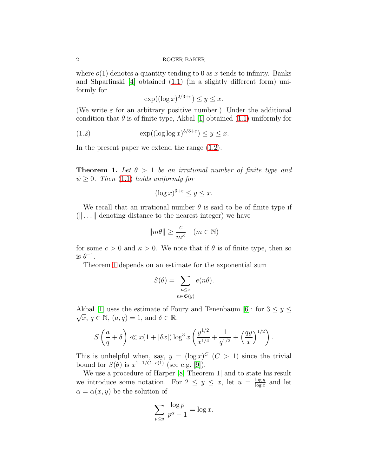where  $o(1)$  denotes a quantity tending to 0 as x tends to infinity. Banks and Shparlinski [\[4\]](#page-11-3) obtained [\(1.1\)](#page-0-0) (in a slightly different form) uniformly for

<span id="page-1-0"></span>
$$
\exp((\log x)^{2/3+\varepsilon}) \le y \le x.
$$

(We write  $\varepsilon$  for an arbitrary positive number.) Under the additional condition that  $\theta$  is of finite type, Akbal [\[1\]](#page-11-0) obtained [\(1.1\)](#page-0-0) uniformly for

(1.2) 
$$
\exp((\log \log x)^{5/3+\varepsilon}) \leq y \leq x.
$$

<span id="page-1-1"></span>In the present paper we extend the range [\(1.2\)](#page-1-0).

**Theorem 1.** Let  $\theta > 1$  be an irrational number of finite type and  $\psi > 0$ . Then [\(1.1\)](#page-0-0) holds uniformly for

$$
(\log x)^{3+\varepsilon} \le y \le x.
$$

We recall that an irrational number  $\theta$  is said to be of finite type if  $(\Vert \ldots \Vert)$  denoting distance to the nearest integer) we have

$$
||m\theta|| \ge \frac{c}{m^{\kappa}} \quad (m \in \mathbb{N})
$$

for some  $c > 0$  and  $\kappa > 0$ . We note that if  $\theta$  is of finite type, then so is  $\theta^{-1}$ .

Theorem [1](#page-1-1) depends on an estimate for the exponential sum

$$
S(\theta) = \sum_{\substack{n \le x \\ n \in \mathfrak{S}(y)}} e(n\theta).
$$

Akbal [\[1\]](#page-11-0) uses the estimate of Foury and Tenenbaum [\[6\]](#page-11-5): for  $3 \le y \le$  $\sqrt{x}, q \in \mathbb{N}, (a,q) = 1, \text{ and } \delta \in \mathbb{R},$ 

$$
S\left(\frac{a}{q} + \delta\right) \ll x(1 + |\delta x|) \log^3 x \left(\frac{y^{1/2}}{x^{1/4}} + \frac{1}{q^{1/2}} + \left(\frac{qy}{x}\right)^{1/2}\right).
$$

This is unhelpful when, say,  $y = (\log x)^C$   $(C > 1)$  since the trivial bound for  $S(\theta)$  is  $x^{1-1/C+o(1)}$  (see e.g. [\[9\]](#page-11-6)).

We use a procedure of Harper [\[8,](#page-11-1) Theorem 1] and to state his result we introduce some notation. For  $2 \leq y \leq x$ , let  $u = \frac{\log y}{\log x}$  $\frac{\log y}{\log x}$  and let  $\alpha = \alpha(x, y)$  be the solution of

$$
\sum_{p \le y} \frac{\log p}{p^{\alpha} - 1} = \log x.
$$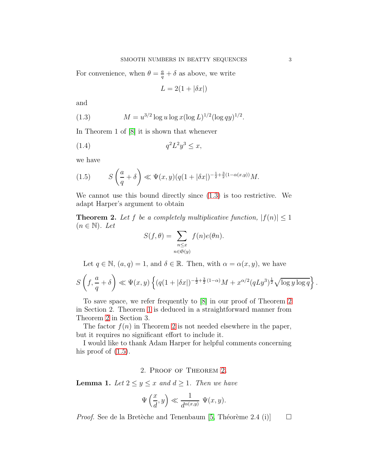For convenience, when  $\theta = \frac{a}{q} + \delta$  as above, we write

<span id="page-2-3"></span><span id="page-2-0"></span>
$$
L = 2(1 + |\delta x|)
$$

and

(1.3) 
$$
M = u^{3/2} \log u \log x (\log L)^{1/2} (\log qy)^{1/2}.
$$

In Theorem 1 of [\[8\]](#page-11-1) it is shown that whenever

$$
(1.4) \t\t q2L2y3 \le x,
$$

we have

<span id="page-2-2"></span>(1.5) 
$$
S\left(\frac{a}{q} + \delta\right) \ll \Psi(x, y)(q(1 + |\delta x|)^{-\frac{1}{2} + \frac{3}{2}(1 - \alpha(x, y))}M.
$$

<span id="page-2-1"></span>We cannot use this bound directly since [\(1.3\)](#page-2-0) is too restrictive. We adapt Harper's argument to obtain

**Theorem 2.** Let f be a completely multiplicative function,  $|f(n)| \leq 1$  $(n \in \mathbb{N})$ . Let

$$
S(f, \theta) = \sum_{\substack{n \le x \\ n \in \mathfrak{S}(y)}} f(n)e(\theta n).
$$

Let  $q \in \mathbb{N}$ ,  $(a,q) = 1$ , and  $\delta \in \mathbb{R}$ . Then, with  $\alpha = \alpha(x,y)$ , we have

$$
S\left(f, \frac{a}{q}+\delta\right) \ll \Psi(x, y) \left\{ (q(1+|\delta x|)^{-\frac{1}{2}+\frac{3}{2}(1-\alpha)}M + x^{\alpha/2}(qLy^3)^{\frac{1}{2}}\sqrt{\log y \log q} \right\}.
$$

To save space, we refer frequently to [\[8\]](#page-11-1) in our proof of Theorem [2](#page-2-1) in Section 2. Theorem [1](#page-1-1) is deduced in a straightforward manner from Theorem [2](#page-2-1) in Section 3.

The factor  $f(n)$  in Theorem [2](#page-2-1) is not needed elsewhere in the paper, but it requires no significant effort to include it.

I would like to thank Adam Harper for helpful comments concerning his proof of  $(1.5)$ .

# 2. Proof of Theorem [2.](#page-2-1)

<span id="page-2-4"></span>**Lemma 1.** Let  $2 \le y \le x$  and  $d \ge 1$ . Then we have

$$
\Psi\left(\frac{x}{d},y\right) \ll \frac{1}{d^{\alpha(x,y)}} \Psi(x,y).
$$

*Proof.* See de la Bretèche and Tenenbaum [\[5,](#page-11-7) Théorème 2.4 (i)]  $\Box$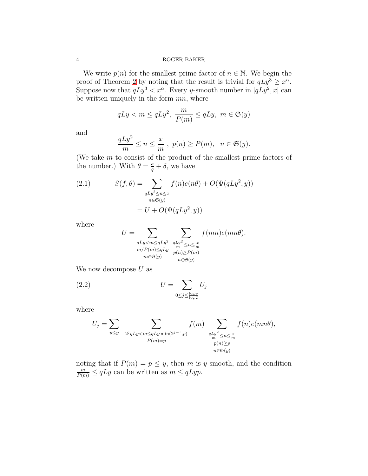We write  $p(n)$  for the smallest prime factor of  $n \in \mathbb{N}$ . We begin the proof of Theorem [2](#page-2-1) by noting that the result is trivial for  $qLy^3 \geq x^{\alpha}$ . Suppose now that  $qLy^3 < x^\alpha$ . Every y-smooth number in  $[qLy^2, x]$  can be written uniquely in the form  $mn$ , where

$$
qLy < m \le qLy^2, \ \frac{m}{P(m)} \le qLy, \ m \in \mathfrak{S}(y)
$$

and

$$
\frac{qLy^2}{m} \le n \le \frac{x}{m}, \ p(n) \ge P(m), \ n \in \mathfrak{S}(y).
$$

(We take m to consist of the product of the smallest prime factors of the number.) With  $\theta = \frac{a}{q} + \delta$ , we have

<span id="page-3-0"></span>(2.1) 
$$
S(f, \theta) = \sum_{\substack{qLy^2 \le n \le x \\ n \in \mathfrak{S}(y)}} f(n)e(n\theta) + O(\Psi(qLy^2, y))
$$

$$
= U + O(\Psi(qLy^2, y))
$$

where

$$
U = \sum_{\substack{qLy < m \le qLy^2 \\ m/P(m) \le qLy} \le \frac{qLy^2}{m} \le n \le \frac{x}{m} \\ m \in \mathfrak{S}(y)} \sum_{\substack{p(n) \ge P(m) \\ n \in \mathfrak{S}(y)}} f(mn)e(mn\theta).
$$

We now decompose  $U$  as

(2.2) 
$$
U = \sum_{0 \le j \le \frac{\log y}{\log 2}} U_j
$$

where

$$
U_j = \sum_{p \le y} \sum_{\substack{2^j qLy < m \le qLy \min(2^{j+1}, p) \\ P(m) = p}} f(m) \sum_{\substack{qLy^2 \le n \le \frac{x}{m} \\ p(n) \ge p \\ n \in \mathfrak{S}(y)}} f(n) e(mn\theta),
$$

noting that if  $P(m) = p \leq y$ , then m is y-smooth, and the condition  $\frac{m}{P(m)} \leq qLy$  can be written as  $m \leq qLy$ .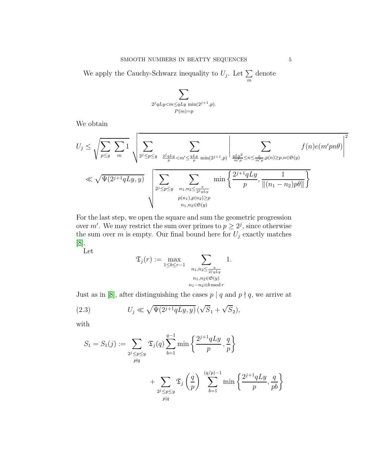We apply the Cauchy-Schwarz inequality to  $U_j$ . Let  $\Sigma$ m denote

$$
\sum_{\substack{2^j qLy < m \leq qLy \min(2^{j+1}, p).\\P(m)=p}}
$$

We obtain

$$
U_j \leq \sqrt{\sum_{p \leq y} \sum_{m} 1} \sqrt{\sum_{2^j \leq p \leq y} \sum_{\substack{2^j qLy < m' \leq \frac{qLy}{p} \min(2^{j+1}, p) \\ z_1 \leq p \leq n \leq \frac{x}{p}}} \left| \sum_{\substack{qLy \leq n \leq \frac{y}{p} \min(2^{j+1}, p) \\ m'p \leq n \leq \frac{x}{p}, p(n) \geq p, n \in \mathfrak{S}(y)}} f(n) e(m'pn\theta) \right|^2
$$
  

$$
\ll \sqrt{\Psi(2^{j+1}qLy, y)} \sqrt{\sum_{2^j \leq p \leq y} \sum_{\substack{n_1, n_2 \leq \frac{x}{p^jqLy} \\ n_1, n_2 \in \mathfrak{S}(y)}} \min \left\{ \frac{2^{j+1}qLy}{p}, \frac{1}{\|(n_1 - n_2)p\theta\|} \right\}}
$$

For the last step, we open the square and sum the geometric progression over m'. We may restrict the sum over primes to  $p \geq 2^j$ , since otherwise the sum over  $m$  is empty. Our final bound here for  $U_j$  exactly matches [\[8\]](#page-11-1).

Let

$$
\mathfrak{T}_j(r) := \max_{1 \le b \le r-1} \sum_{\substack{n_1, n_2 \le \frac{x}{2^j qLy} \ n_1, n_2 \in \mathfrak{S}(y) \ n_1 - n_2 \equiv b \bmod r}} 1.
$$

Just as in [\[8\]](#page-11-1), after distinguishing the cases  $p \mid q$  and  $p \nmid q,$  we arrive at

(2.3) 
$$
U_j \ll \sqrt{\Psi(2^{j+1}qLy, y)} (\sqrt{S_1} + \sqrt{S_2}),
$$

with

<span id="page-4-0"></span>
$$
S_1 = S_1(j) := \sum_{\substack{2^j \le p \le y \\ p \nmid q}} \mathfrak{T}_j(q) \sum_{b=1}^{q-1} \min\left\{\frac{2^{j+1}qLy}{p}, \frac{q}{p}\right\}
$$

$$
+ \sum_{\substack{2^j \le p \le y \\ p \mid q}} \mathfrak{T}_j\left(\frac{q}{p}\right) \sum_{b=1}^{(q/p)-1} \min\left\{\frac{2^{j+1}qLy}{p}, \frac{q}{pb}\right\}
$$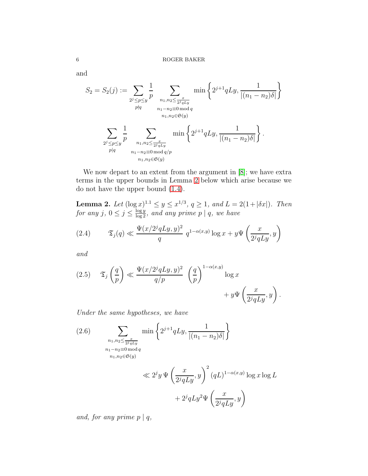and

$$
S_2 = S_2(j) := \sum_{\substack{2^j \le p \le y \\ p \nmid q}} \frac{1}{p} \sum_{\substack{n_1, n_2 \le \frac{x}{2^j qLy} \\ n_1 - n_2 \equiv 0 \mod q \\ n_1, n_2 \in \mathfrak{S}(y)}} \min\left\{2^{j+1} qLy, \frac{1}{|(n_1 - n_2)\delta|}\right\}
$$

$$
\sum_{\substack{2^j \le p \le y \\ p \mid q}} \frac{1}{p} \sum_{\substack{n_1, n_2 \le \frac{x}{2^j qLy} \\ n_1 - n_2 \equiv 0 \mod q/p \\ n_1, n_2 \in \mathfrak{S}(y)}} \min\left\{2^{j+1} qLy, \frac{1}{|(n_1 - n_2)\delta|}\right\}.
$$

We now depart to an extent from the argument in [\[8\]](#page-11-1); we have extra terms in the upper bounds in Lemma [2](#page-5-0) below which arise because we do not have the upper bound [\(1.4\)](#page-2-3).

<span id="page-5-0"></span>**Lemma 2.** Let  $(\log x)^{1.1} \leq y \leq x^{1/3}, q \geq 1, \text{ and } L = 2(1 + |\delta x|).$  Then for any j,  $0 \le j \le \frac{\log y}{\log 2}$ , and any prime  $p \mid q$ , we have

<span id="page-5-1"></span>(2.4) 
$$
\mathfrak{T}_j(q) \ll \frac{\Psi(x/2^j qLy, y)^2}{q} q^{1-\alpha(x,y)} \log x + y\Psi\left(\frac{x}{2^j qLy}, y\right)
$$

and

<span id="page-5-2"></span>(2.5) 
$$
\mathfrak{T}_{j}\left(\frac{q}{p}\right) \ll \frac{\Psi(x/2^{j}qLy, y)^{2}}{q/p} \left(\frac{q}{p}\right)^{1-\alpha(x,y)} \log x + y\Psi\left(\frac{x}{2^{j}qLy}, y\right).
$$

Under the same hypotheses, we have

<span id="page-5-3"></span>(2.6)  
\n
$$
\sum_{\substack{n_1, n_2 \leq \frac{x}{2^j qLy} \\ n_1 - n_2 \equiv 0 \mod q \\ n_1, n_2 \in \mathfrak{S}(y)}} \min\left\{2^{j+1} qLy, \frac{1}{|(n_1 - n_2)\delta|}\right\}
$$
\n
$$
\ll 2^j y \Psi\left(\frac{x}{2^j qLy}, y\right)^2 (qL)^{1-\alpha(x,y)} \log x \log L
$$
\n
$$
+ 2^j qLy^2 \Psi\left(\frac{x}{2^j qLy}, y\right)
$$

and, for any prime  $p \mid q$ ,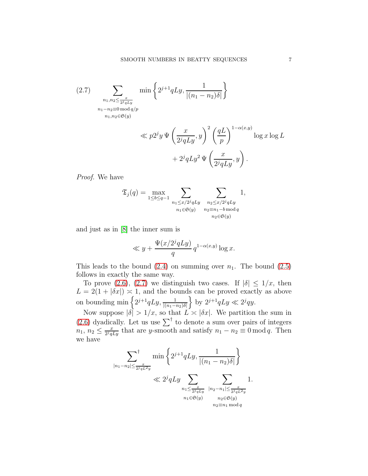<span id="page-6-0"></span>(2.7) 
$$
\sum_{\substack{n_1, n_2 \leq \frac{x}{2^j qLy} \\ n_1 - n_2 \equiv 0 \bmod{q/p} \\ n_1, n_2 \in \mathfrak{S}(y)}} \min\left\{2^{j+1} qLy, \frac{1}{|(n_1 - n_2)\delta|}\right\}
$$

$$
\ll p2^{j}y \Psi\left(\frac{x}{2^{j}qLy}, y\right)^{2} \left(\frac{qL}{p}\right)^{1-\alpha(x,y)} \log x \log L + 2^{j}qLy^{2} \Psi\left(\frac{x}{2^{j}qLy}, y\right).
$$

Proof. We have

$$
\mathfrak{T}_{j}(q) = \max_{1 \leq b \leq q-1} \sum_{\substack{n_1 \leq x/2^j qLy\\ n_1 \in \mathfrak{S}(y)}} \sum_{\substack{n_2 \leq x/2^j qLy\\ n_2 \equiv n_1 - b \mod q\\ n_2 \in \mathfrak{S}(y)}} 1,
$$

and just as in [\[8\]](#page-11-1) the inner sum is

$$
\ll y + \frac{\Psi(x/2^j qLy)}{q} q^{1-\alpha(x,y)} \log x.
$$

This leads to the bound  $(2.4)$  on summing over  $n_1$ . The bound  $(2.5)$ follows in exactly the same way.

To prove [\(2.6\)](#page-5-3), [\(2.7\)](#page-6-0) we distinguish two cases. If  $|\delta| \leq 1/x$ , then  $L = 2(1 + |\delta x|) \approx 1$ , and the bounds can be proved exactly as above on bounding min  $\left\{2^{j+1}qLy, \frac{1}{|(n_1-n_2)\delta|}\right\}$  $\Big\}$  by  $2^{j+1}qLy \ll 2^j qy$ .

Now suppose  $|\delta| > 1/x$ , so that  $L \approx |\delta x|$ . We partition the sum in  $(2.6)$  dyadically. Let us use  $\sum^{\dagger}$  to denote a sum over pairs of integers  $n_1, n_2 \leq \frac{x}{2^j q}$  $\frac{x}{2^j qLy}$  that are y-smooth and satisfy  $n_1 - n_2 \equiv 0 \mod q$ . Then we have

$$
\sum_{|n_1 - n_2| \le \frac{x}{2^j q L^2 y}}^{\dagger} \min \left\{ 2^{j+1} q L y, \frac{1}{|(n_1 - n_2)\delta|} \right\} \n\ll 2^j q L y \sum_{\substack{n_1 \le \frac{x}{2^j q L y} \\ n_1 \in \mathfrak{S}(y)}} \sum_{\substack{|n_2 - n_1| \le \frac{x}{2^j q L^2 y} \\ n_2 \in \mathfrak{S}(y) \\ n_2 \equiv n_1 \mod q}} 1.
$$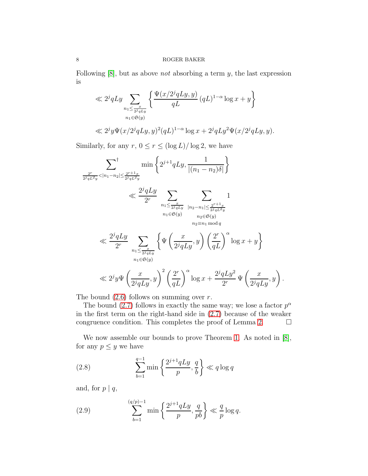Following  $[8]$ , but as above *not* absorbing a term  $y$ , the last expression is

$$
\ll 2^{j}qLy \sum_{\substack{n_1 \leq \frac{x}{2^{j}qLy}\\ n_1 \in \mathfrak{S}(y)}} \left\{ \frac{\Psi(x/2^{j}qLy,y)}{qL} (qL)^{1-\alpha} \log x + y \right\}
$$
  

$$
\ll 2^{j}y \Psi(x/2^{j}qLy,y)^{2}(qL)^{1-\alpha} \log x + 2^{j}qLy^{2}\Psi(x/2^{j}qLy,y).
$$

Similarly, for any  $r, 0 \le r \le (\log L)/\log 2$ , we have

$$
\sum_{\frac{2^r}{2^j q L^2 y} < |n_1 - n_2| \le \frac{2^{r+1} x}{2^j q L^2 y}} \min \left\{ 2^{j+1} q L y, \frac{1}{|(n_1 - n_2)\delta|} \right\}
$$
\n
$$
\ll \frac{2^j q L y}{2^r} \sum_{\substack{n_1 \le \frac{x}{2^j q L y} \\ n_1 \in \mathfrak{S}(y)}} \sum_{\substack{|n_2 - n_1| \le \frac{2^{r+1} x}{2^j q L^2 y} \\ n_2 \in \mathfrak{S}(y)}} 1
$$
\n
$$
\ll \frac{2^j q L y}{2^r} \sum_{\substack{n_1 \le \frac{x}{2^j q L y} \\ n_1 \in \mathfrak{S}(y)}} \left\{ \Psi \left( \frac{x}{2^j q L y}, y \right) \left( \frac{2^r}{q L} \right)^{\alpha} \log x + y \right\}
$$
\n
$$
\ll 2^j y \Psi \left( \frac{x}{2^j q L y}, y \right)^2 \left( \frac{2^r}{q L} \right)^{\alpha} \log x + \frac{2^j q L y^2}{2^r} \Psi \left( \frac{x}{2^j q L y}, y \right).
$$

The bound  $(2.6)$  follows on summing over r.

The bound [\(2.7\)](#page-6-0) follows in exactly the same way; we lose a factor  $p^{\alpha}$ in the first term on the right-hand side in [\(2.7\)](#page-6-0) because of the weaker congruence condition. This completes the proof of Lemma [2.](#page-5-0)  $\Box$ 

We now assemble our bounds to prove Theorem [1.](#page-1-1) As noted in [\[8\]](#page-11-1), for any  $p \leq y$  we have

<span id="page-7-0"></span>(2.8) 
$$
\sum_{b=1}^{q-1} \min\left\{\frac{2^{j+1}qLy}{p}, \frac{q}{b}\right\} \ll q \log q
$$

and, for  $p \mid q$ ,

<span id="page-7-1"></span>(2.9) 
$$
\sum_{b=1}^{(q/p)-1} \min \left\{ \frac{2^{j+1}qLy}{p}, \frac{q}{pb} \right\} \ll \frac{q}{p} \log q.
$$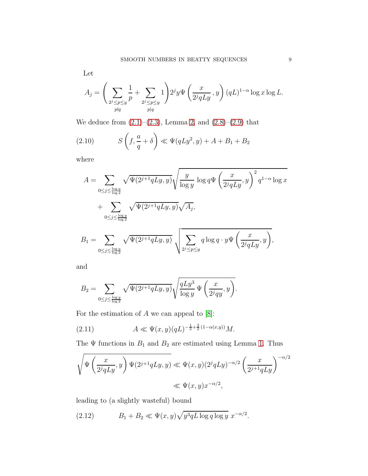Let

$$
A_j=\Bigg(\sum_{\substack{2^j\leq p\leq y\\ p\nmid q}}\frac{1}{p}+\sum_{\substack{2^j\leq p\leq y\\ p\nmid q}}1\Bigg)2^jy\Psi\left(\frac{x}{2^jqLy},y\right)(qL)^{1-\alpha}\log x\log L.
$$

We deduce from  $(2.1)$ – $(2.3)$ , Lemma [2,](#page-5-0) and  $(2.8)$ – $(2.9)$  that

<span id="page-8-1"></span>(2.10) 
$$
S\left(f, \frac{a}{q} + \delta\right) \ll \Psi(qLy^2, y) + A + B_1 + B_2
$$

where

$$
A = \sum_{0 \le j \le \frac{\log y}{\log 2}} \sqrt{\Psi(2^{j+1}qLy, y)} \sqrt{\frac{y}{\log y} \log q} \Psi\left(\frac{x}{2^jqLy}, y\right)^2 q^{1-\alpha} \log x
$$
  
+ 
$$
\sum_{0 \le j \le \frac{\log y}{\log 2}} \sqrt{\Psi(2^{j+1}qLy, y)} \sqrt{A_j},
$$
  

$$
B_1 = \sum_{0 \le j \le \frac{\log y}{\log 2}} \sqrt{\Psi(2^{j+1}qLy, y)} \sqrt{\sum_{2^j \le p \le y} q \log q \cdot y} \Psi\left(\frac{x}{2^jqLy}, y\right)},
$$

and

$$
B_2 = \sum_{0 \le j \le \frac{\log y}{\log 2}} \sqrt{\Psi(2^{j+1}qLy, y)} \sqrt{\frac{qLy^3}{\log y}} \Psi\left(\frac{x}{2^jqy}, y\right).
$$

For the estimation of  $A$  we can appeal to  $[8]$ :

(2.11) 
$$
A \ll \Psi(x, y)(qL)^{-\frac{1}{2} + \frac{3}{2}(1 - \alpha(x, y))} M.
$$

The  $\Psi$  functions in  $B_1$  and  $B_2$  are estimated using Lemma [1.](#page-2-4) Thus

$$
\sqrt{\Psi\left(\frac{x}{2^j qLy}, y\right) \Psi(2^{j+1}qLy, y)} \ll \Psi(x, y) (2^j qLy)^{-\alpha/2} \left(\frac{x}{2^{j+1}qLy}\right)^{-\alpha/2}
$$
  

$$
\ll \Psi(x, y) x^{-\alpha/2},
$$

leading to (a slightly wasteful) bound

<span id="page-8-0"></span>(2.12) 
$$
B_1 + B_2 \ll \Psi(x, y) \sqrt{y^3 q L \log q \log y} x^{-\alpha/2}.
$$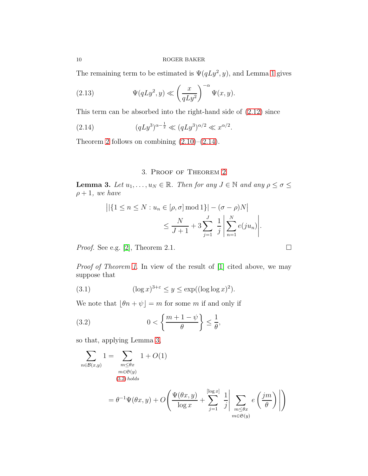The remaining term to be estimated is  $\Psi(qLy^2, y)$ , and Lemma [1](#page-2-4) gives

(2.13) 
$$
\Psi(qLy^2, y) \ll \left(\frac{x}{qLy^2}\right)^{-\alpha} \Psi(x, y).
$$

This term can be absorbed into the right-hand side of [\(2.12\)](#page-8-0) since

(2.14) 
$$
(qLy^3)^{\alpha - \frac{1}{2}} \ll (qLy^3)^{\alpha/2} \ll x^{\alpha/2}.
$$

Theorem [2](#page-2-1) follows on combining  $(2.10)$ – $(2.14)$ .

# <span id="page-9-0"></span>3. Proof of Theorem [2](#page-2-1)

<span id="page-9-1"></span>**Lemma 3.** Let  $u_1, \ldots, u_N \in \mathbb{R}$ . Then for any  $J \in \mathbb{N}$  and any  $\rho \leq \sigma \leq$  $\rho + 1$ , we have

$$
||\{1 \le n \le N : u_n \in [\rho, \sigma] \mod 1\}| - (\sigma - \rho)N||
$$
  

$$
\le \frac{N}{J+1} + 3\sum_{j=1}^{J} \frac{1}{j} \left| \sum_{n=1}^{N} e(ju_n) \right|.
$$

Proof. See e.g. [\[2\]](#page-11-8), Theorem 2.1.

Proof of Theorem [1.](#page-1-1) In view of the result of [\[1\]](#page-11-0) cited above, we may suppose that

<span id="page-9-3"></span>(3.1) 
$$
(\log x)^{3+\varepsilon} \le y \le \exp((\log \log x)^2).
$$

We note that  $\lfloor \theta n + \psi \rfloor = m$  for some m if and only if

<span id="page-9-2"></span>(3.2) 
$$
0 < \left\{ \frac{m+1-\psi}{\theta} \right\} \leq \frac{1}{\theta},
$$

so that, applying Lemma [3,](#page-9-1)

$$
\sum_{m \in \mathcal{B}(x,y)} 1 = \sum_{\substack{m \le \theta x \\ m \in \mathfrak{S}(y) \\ (3.2) \text{ holds}}} 1 + O(1)
$$
  
=  $\theta^{-1} \Psi(\theta x, y) + O\left(\frac{\Psi(\theta x, y)}{\log x} + \sum_{j=1}^{\lfloor \log x \rfloor} \frac{1}{j} \left| \sum_{\substack{m \le \theta x \\ m \in \mathfrak{S}(y)}} e\left(\frac{jm}{\theta}\right) \right| \right)$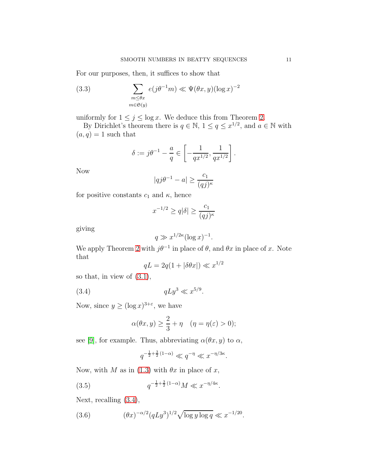For our purposes, then, it suffices to show that

<span id="page-10-3"></span>(3.3) 
$$
\sum_{\substack{m \leq \theta x \\ m \in \mathfrak{S}(y)}} e(j\theta^{-1}m) \ll \Psi(\theta x, y) (\log x)^{-2}
$$

uniformly for  $1 \leq j \leq \log x$ . We deduce this from Theorem [2.](#page-2-1)

By Dirichlet's theorem there is  $q \in \mathbb{N}$ ,  $1 \le q \le x^{1/2}$ , and  $a \in \mathbb{N}$  with  $(a, q) = 1$  such that

$$
\delta := j\theta^{-1} - \frac{a}{q} \in \left[ -\frac{1}{qx^{1/2}}, \frac{1}{qx^{1/2}} \right].
$$

Now

$$
|qj\theta^{-1} - a| \ge \frac{c_1}{(qj)^{\kappa}}
$$

for positive constants  $c_1$  and  $\kappa$ , hence

$$
x^{-1/2} \ge q|\delta| \ge \frac{c_1}{(qj)^\kappa}
$$

giving

$$
q \gg x^{1/2\kappa} (\log x)^{-1}.
$$

We apply Theorem [2](#page-2-1) with  $j\theta^{-1}$  in place of  $\theta$ , and  $\theta x$  in place of x. Note that

<span id="page-10-0"></span>
$$
qL = 2q(1 + |\delta \theta x|) \ll x^{1/2}
$$

so that, in view of  $(3.1)$ ,

(3.4) 
$$
qLy^3 \ll x^{5/9}
$$
.

Now, since  $y \geq (\log x)^{3+\varepsilon}$ , we have

$$
\alpha(\theta x, y) \ge \frac{2}{3} + \eta \quad (\eta = \eta(\varepsilon) > 0);
$$

see [\[9\]](#page-11-6), for example. Thus, abbreviating  $\alpha(\theta x, y)$  to  $\alpha$ ,

<span id="page-10-1"></span>
$$
q^{-\frac{1}{2} + \frac{3}{2}(1-\alpha)} \ll q^{-\eta} \ll x^{-\eta/3\kappa}.
$$

Now, with M as in [\(1.3\)](#page-2-0) with  $\theta x$  in place of x,

(3.5) 
$$
q^{-\frac{1}{2} + \frac{3}{2}(1-\alpha)}M \ll x^{-\eta/4\kappa}.
$$

Next, recalling [\(3.4\)](#page-10-0),

<span id="page-10-2"></span>(3.6) 
$$
(\theta x)^{-\alpha/2} (qLy^3)^{1/2} \sqrt{\log y \log q} \ll x^{-1/20}.
$$